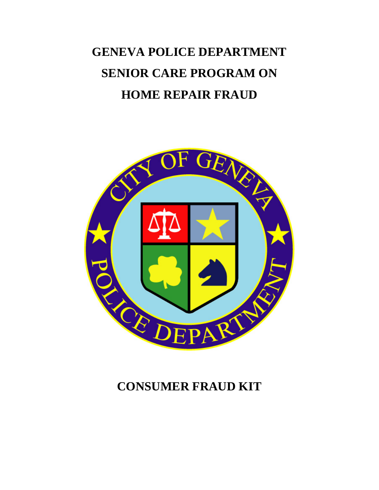# **GENEVA POLICE DEPARTMENT SENIOR CARE PROGRAM ON HOME REPAIR FRAUD**



### **CONSUMER FRAUD KIT**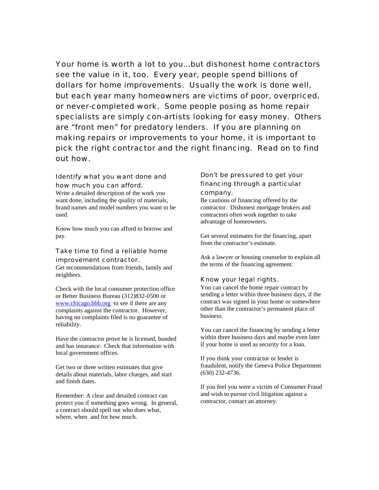Your home is worth a lot to you…but dishonest home contractors see the value in it, too. Every year, people spend billions of dollars for home improvements. Usually the work is done well, but each year many homeowners are victims of poor, overpriced, or never-completed work. Some people posing as home repair specialists are simply con-artists looking for easy money. Others are "front men" for predatory lenders. If you are planning on making repairs or improvements to your home, it is important to pick the right contractor and the right financing. Read on to find out how.

#### Identify what you want done and how much you can afford.

Write a detailed description of the work you want done, including the quality of materials, brand names and model numbers you want to be used.

Know how much you can afford to borrow and pay.

#### Take time to find a reliable home improvement contractor.

Get recommendations from friends, family and neighbors.

Check with the local consumer protection office or Better Business Bureau (312)832-0500 or www.chicago.bbb.org to see if there are any complaints against the contractor. However, having no complaints filed is no guarantee of reliability.

Have the contractor prove he is licensed, bonded and has insurance. Check that information with local government offices.

Get two or three written estimates that give details about materials, labor charges, and start and finish dates.

Remember: A clear and detailed contract can protect you if something goes wrong. In general, a contract should spell out who does what, where, when and for how much.

#### Don't be pressured to get your financing through a particular company.

Be cautious of financing offered by the contractor. Dishonest mortgage brokers and contractors often work together to take advantage of homeowners.

Get several estimates for the financing, apart from the contractor's estimate.

Ask a lawyer or housing counselor to explain all the terms of the financing agreement.

#### Know your legal rights.

You can cancel the home repair contract by sending a letter within three business days, if the contract was signed in your home or somewhere other than the contractor's permanent place of business.

You can cancel the financing by sending a letter within three business days and maybe even later if your home is used as security for a loan.

If you think your contractor or lender is fraudulent, notify the Geneva Police Department (630) 232-4736.

If you feel you were a victim of Consumer Fraud and wish to pursue civil litigation against a contractor, contact an attorney.